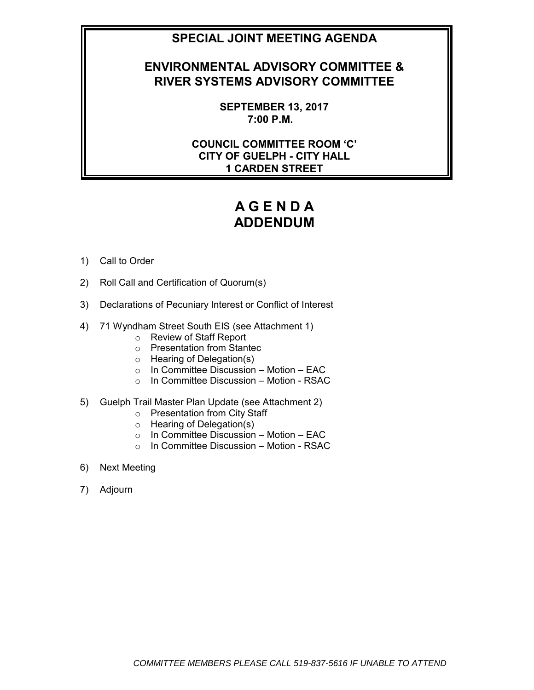# **SPECIAL JOINT MEETING AGENDA**

# **ENVIRONMENTAL ADVISORY COMMITTEE & RIVER SYSTEMS ADVISORY COMMITTEE**

**SEPTEMBER 13, 2017 7:00 P.M.**

**COUNCIL COMMITTEE ROOM 'C' CITY OF GUELPH - CITY HALL 1 CARDEN STREET**

# **A G E N D A ADDENDUM**

- 1) Call to Order
- 2) Roll Call and Certification of Quorum(s)
- 3) Declarations of Pecuniary Interest or Conflict of Interest
- 4) 71 Wyndham Street South EIS (see Attachment 1)
	- o Review of Staff Report
	- o Presentation from Stantec
	- o Hearing of Delegation(s)
	- $\circ$  In Committee Discussion Motion EAC
	- o In Committee Discussion Motion RSAC
- 5) Guelph Trail Master Plan Update (see Attachment 2)
	- o Presentation from City Staff
	- o Hearing of Delegation(s)
	- $\circ$  In Committee Discussion Motion EAC
	- o In Committee Discussion Motion RSAC
- 6) Next Meeting
- 7) Adjourn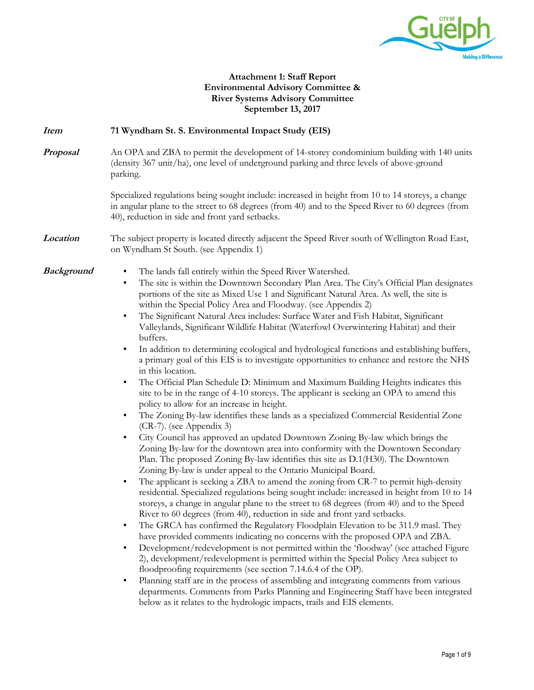

#### **Attachment 1: Staff Report Environmental Advisory Committee & River Systems Advisory Committee September 13, 2017**

# **Item 71 Wyndham St. S. Environmental Impact Study (EIS) Proposal** An OPA and ZBA to permit the development of 14-storey condominium building with 140 units (density 367 unit/ha), one level of underground parking and three levels of above-ground parking. Specialized regulations being sought include: increased in height from 10 to 14 storeys, a change in angular plane to the street to 68 degrees (from 40) and to the Speed River to 60 degrees (from 40), reduction in side and front yard setbacks. **Location** The subject property is located directly adjacent the Speed River south of Wellington Road East, on Wyndham St South. (see Appendix 1)

- **Background •** The lands fall entirely within the Speed River Watershed.
	- The site is within the Downtown Secondary Plan Area. The City's Official Plan designates portions of the site as Mixed Use 1 and Significant Natural Area. As well, the site is within the Special Policy Area and Floodway. (see Appendix 2)
	- The Significant Natural Area includes: Surface Water and Fish Habitat, Significant Valleylands, Significant Wildlife Habitat (Waterfowl Overwintering Habitat) and their buffers.
	- In addition to determining ecological and hydrological functions and establishing buffers, a primary goal of this EIS is to investigate opportunities to enhance and restore the NHS in this location.
	- The Official Plan Schedule D: Minimum and Maximum Building Heights indicates this site to be in the range of 4-10 storeys. The applicant is seeking an OPA to amend this policy to allow for an increase in height.
	- The Zoning By-law identifies these lands as a specialized Commercial Residential Zone (CR-7). (see Appendix 3)
	- City Council has approved an updated Downtown Zoning By-law which brings the Zoning By-law for the downtown area into conformity with the Downtown Secondary Plan. The proposed Zoning By-law identifies this site as D.1(H30). The Downtown Zoning By-law is under appeal to the Ontario Municipal Board.
	- The applicant is seeking a ZBA to amend the zoning from CR-7 to permit high-density residential. Specialized regulations being sought include: increased in height from 10 to 14 storeys, a change in angular plane to the street to 68 degrees (from 40) and to the Speed River to 60 degrees (from 40), reduction in side and front yard setbacks.
	- **•** The GRCA has confirmed the Regulatory Floodplain Elevation to be 311.9 masl. They have provided comments indicating no concerns with the proposed OPA and ZBA.
	- Development/redevelopment is not permitted within the 'floodway' (see attached Figure 2), development/redevelopment is permitted within the Special Policy Area subject to floodproofing requirements (see section 7.14.6.4 of the OP).
	- Planning staff are in the process of assembling and integrating comments from various departments. Comments from Parks Planning and Engineering Staff have been integrated below as it relates to the hydrologic impacts, trails and EIS elements.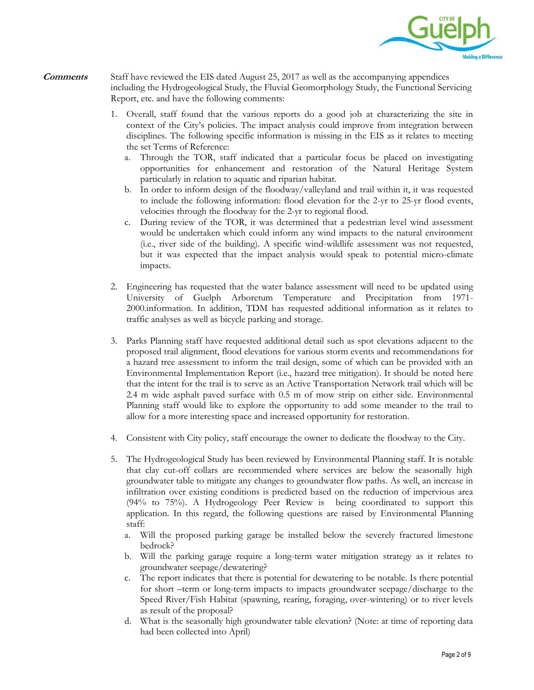

- **Comments** Staff have reviewed the EIS dated August 25, 2017 as well as the accompanying appendices including the Hydrogeological Study, the Fluvial Geomorphology Study, the Functional Servicing Report, etc. and have the following comments:
	- 1. Overall, staff found that the various reports do a good job at characterizing the site in context of the City's policies. The impact analysis could improve from integration between disciplines. The following specific information is missing in the EIS as it relates to meeting the set Terms of Reference:
		- a. Through the TOR, staff indicated that a particular focus be placed on investigating opportunities for enhancement and restoration of the Natural Heritage System particularly in relation to aquatic and riparian habitat.
		- b. In order to inform design of the floodway/valleyland and trail within it, it was requested to include the following information: flood elevation for the 2-yr to 25-yr flood events, velocities through the floodway for the 2-yr to regional flood.
		- c. During review of the TOR, it was determined that a pedestrian level wind assessment would be undertaken which could inform any wind impacts to the natural environment (i.e., river side of the building). A specific wind-wildlife assessment was not requested, but it was expected that the impact analysis would speak to potential micro-climate impacts.
	- 2. Engineering has requested that the water balance assessment will need to be updated using University of Guelph Arboretum Temperature and Precipitation from 1971- 2000.information. In addition, TDM has requested additional information as it relates to traffic analyses as well as bicycle parking and storage.
	- 3. Parks Planning staff have requested additional detail such as spot elevations adjacent to the proposed trail alignment, flood elevations for various storm events and recommendations for a hazard tree assessment to inform the trail design, some of which can be provided with an Environmental Implementation Report (i.e., hazard tree mitigation). It should be noted here that the intent for the trail is to serve as an Active Transportation Network trail which will be 2.4 m wide asphalt paved surface with 0.5 m of mow strip on either side. Environmental Planning staff would like to explore the opportunity to add some meander to the trail to allow for a more interesting space and increased opportunity for restoration.
	- 4. Consistent with City policy, staff encourage the owner to dedicate the floodway to the City.
	- 5. The Hydrogeological Study has been reviewed by Environmental Planning staff. It is notable that clay cut-off collars are recommended where services are below the seasonally high groundwater table to mitigate any changes to groundwater flow paths. As well, an increase in infiltration over existing conditions is predicted based on the reduction of impervious area (94% to 75%). A Hydrogeology Peer Review is being coordinated to support this application. In this regard, the following questions are raised by Environmental Planning staff:
		- a. Will the proposed parking garage be installed below the severely fractured limestone bedrock?
		- b. Will the parking garage require a long-term water mitigation strategy as it relates to groundwater seepage/dewatering?
		- c. The report indicates that there is potential for dewatering to be notable. Is there potential for short –term or long-term impacts to impacts groundwater seepage/discharge to the Speed River/Fish Habitat (spawning, rearing, foraging, over-wintering) or to river levels as result of the proposal?
		- d. What is the seasonally high groundwater table elevation? (Note: at time of reporting data had been collected into April)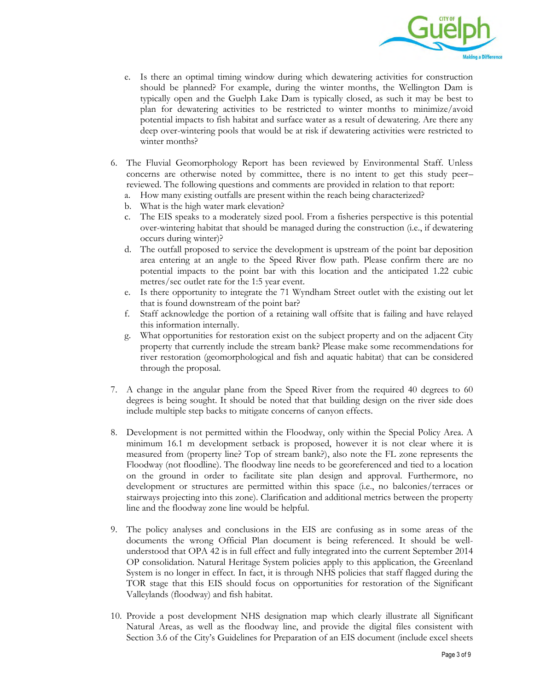

- e. Is there an optimal timing window during which dewatering activities for construction should be planned? For example, during the winter months, the Wellington Dam is typically open and the Guelph Lake Dam is typically closed, as such it may be best to plan for dewatering activities to be restricted to winter months to minimize/avoid potential impacts to fish habitat and surface water as a result of dewatering. Are there any deep over-wintering pools that would be at risk if dewatering activities were restricted to winter months?
- 6. The Fluvial Geomorphology Report has been reviewed by Environmental Staff. Unless concerns are otherwise noted by committee, there is no intent to get this study peer– reviewed. The following questions and comments are provided in relation to that report:
	- a. How many existing outfalls are present within the reach being characterized?
	- b. What is the high water mark elevation?
	- c. The EIS speaks to a moderately sized pool. From a fisheries perspective is this potential over-wintering habitat that should be managed during the construction (i.e., if dewatering occurs during winter)?
	- d. The outfall proposed to service the development is upstream of the point bar deposition area entering at an angle to the Speed River flow path. Please confirm there are no potential impacts to the point bar with this location and the anticipated 1.22 cubic metres/sec outlet rate for the 1:5 year event.
	- e. Is there opportunity to integrate the 71 Wyndham Street outlet with the existing out let that is found downstream of the point bar?
	- f. Staff acknowledge the portion of a retaining wall offsite that is failing and have relayed this information internally.
	- g. What opportunities for restoration exist on the subject property and on the adjacent City property that currently include the stream bank? Please make some recommendations for river restoration (geomorphological and fish and aquatic habitat) that can be considered through the proposal.
- 7. A change in the angular plane from the Speed River from the required 40 degrees to 60 degrees is being sought. It should be noted that that building design on the river side does include multiple step backs to mitigate concerns of canyon effects.
- 8. Development is not permitted within the Floodway, only within the Special Policy Area. A minimum 16.1 m development setback is proposed, however it is not clear where it is measured from (property line? Top of stream bank?), also note the FL zone represents the Floodway (not floodline). The floodway line needs to be georeferenced and tied to a location on the ground in order to facilitate site plan design and approval. Furthermore, no development or structures are permitted within this space (i.e., no balconies/terraces or stairways projecting into this zone). Clarification and additional metrics between the property line and the floodway zone line would be helpful.
- 9. The policy analyses and conclusions in the EIS are confusing as in some areas of the documents the wrong Official Plan document is being referenced. It should be wellunderstood that OPA 42 is in full effect and fully integrated into the current September 2014 OP consolidation. Natural Heritage System policies apply to this application, the Greenland System is no longer in effect. In fact, it is through NHS policies that staff flagged during the TOR stage that this EIS should focus on opportunities for restoration of the Significant Valleylands (floodway) and fish habitat.
- 10. Provide a post development NHS designation map which clearly illustrate all Significant Natural Areas, as well as the floodway line, and provide the digital files consistent with Section 3.6 of the City's Guidelines for Preparation of an EIS document (include excel sheets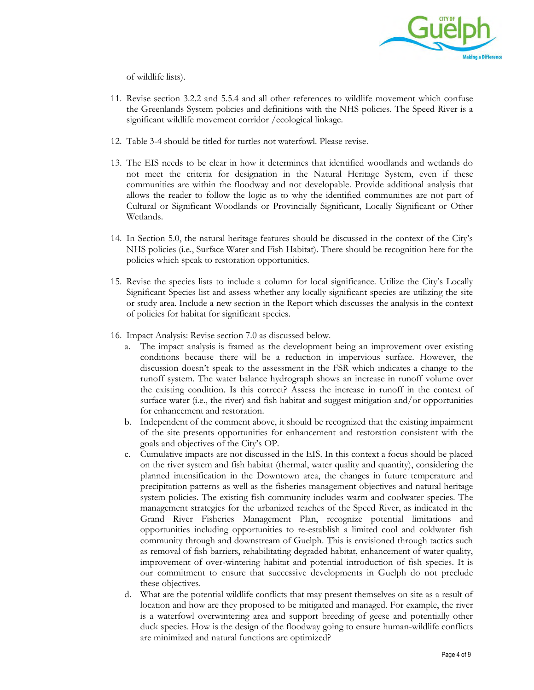

of wildlife lists).

- 11. Revise section 3.2.2 and 5.5.4 and all other references to wildlife movement which confuse the Greenlands System policies and definitions with the NHS policies. The Speed River is a significant wildlife movement corridor /ecological linkage.
- 12. Table 3-4 should be titled for turtles not waterfowl. Please revise.
- 13. The EIS needs to be clear in how it determines that identified woodlands and wetlands do not meet the criteria for designation in the Natural Heritage System, even if these communities are within the floodway and not developable. Provide additional analysis that allows the reader to follow the logic as to why the identified communities are not part of Cultural or Significant Woodlands or Provincially Significant, Locally Significant or Other Wetlands.
- 14. In Section 5.0, the natural heritage features should be discussed in the context of the City's NHS policies (i.e., Surface Water and Fish Habitat). There should be recognition here for the policies which speak to restoration opportunities.
- 15. Revise the species lists to include a column for local significance. Utilize the City's Locally Significant Species list and assess whether any locally significant species are utilizing the site or study area. Include a new section in the Report which discusses the analysis in the context of policies for habitat for significant species.
- 16. Impact Analysis: Revise section 7.0 as discussed below.
	- a. The impact analysis is framed as the development being an improvement over existing conditions because there will be a reduction in impervious surface. However, the discussion doesn't speak to the assessment in the FSR which indicates a change to the runoff system. The water balance hydrograph shows an increase in runoff volume over the existing condition. Is this correct? Assess the increase in runoff in the context of surface water (i.e., the river) and fish habitat and suggest mitigation and/or opportunities for enhancement and restoration.
	- b. Independent of the comment above, it should be recognized that the existing impairment of the site presents opportunities for enhancement and restoration consistent with the goals and objectives of the City's OP.
	- c. Cumulative impacts are not discussed in the EIS. In this context a focus should be placed on the river system and fish habitat (thermal, water quality and quantity), considering the planned intensification in the Downtown area, the changes in future temperature and precipitation patterns as well as the fisheries management objectives and natural heritage system policies. The existing fish community includes warm and coolwater species. The management strategies for the urbanized reaches of the Speed River, as indicated in the Grand River Fisheries Management Plan, recognize potential limitations and opportunities including opportunities to re-establish a limited cool and coldwater fish community through and downstream of Guelph. This is envisioned through tactics such as removal of fish barriers, rehabilitating degraded habitat, enhancement of water quality, improvement of over-wintering habitat and potential introduction of fish species. It is our commitment to ensure that successive developments in Guelph do not preclude these objectives.
	- d. What are the potential wildlife conflicts that may present themselves on site as a result of location and how are they proposed to be mitigated and managed. For example, the river is a waterfowl overwintering area and support breeding of geese and potentially other duck species. How is the design of the floodway going to ensure human-wildlife conflicts are minimized and natural functions are optimized?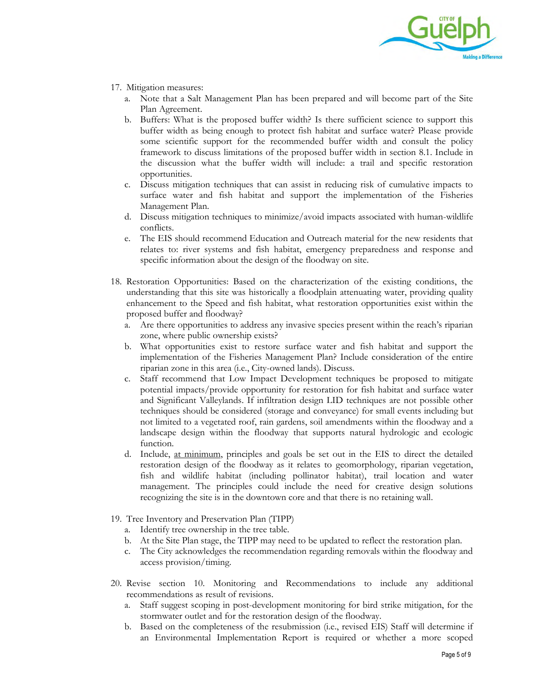

- 17. Mitigation measures:
	- a. Note that a Salt Management Plan has been prepared and will become part of the Site Plan Agreement.
	- b. Buffers: What is the proposed buffer width? Is there sufficient science to support this buffer width as being enough to protect fish habitat and surface water? Please provide some scientific support for the recommended buffer width and consult the policy framework to discuss limitations of the proposed buffer width in section 8.1. Include in the discussion what the buffer width will include: a trail and specific restoration opportunities.
	- c. Discuss mitigation techniques that can assist in reducing risk of cumulative impacts to surface water and fish habitat and support the implementation of the Fisheries Management Plan.
	- d. Discuss mitigation techniques to minimize/avoid impacts associated with human-wildlife conflicts.
	- e. The EIS should recommend Education and Outreach material for the new residents that relates to: river systems and fish habitat, emergency preparedness and response and specific information about the design of the floodway on site.
- 18. Restoration Opportunities: Based on the characterization of the existing conditions, the understanding that this site was historically a floodplain attenuating water, providing quality enhancement to the Speed and fish habitat, what restoration opportunities exist within the proposed buffer and floodway?
	- a. Are there opportunities to address any invasive species present within the reach's riparian zone, where public ownership exists?
	- b. What opportunities exist to restore surface water and fish habitat and support the implementation of the Fisheries Management Plan? Include consideration of the entire riparian zone in this area (i.e., City-owned lands). Discuss.
	- c. Staff recommend that Low Impact Development techniques be proposed to mitigate potential impacts/provide opportunity for restoration for fish habitat and surface water and Significant Valleylands. If infiltration design LID techniques are not possible other techniques should be considered (storage and conveyance) for small events including but not limited to a vegetated roof, rain gardens, soil amendments within the floodway and a landscape design within the floodway that supports natural hydrologic and ecologic function.
	- d. Include, at minimum, principles and goals be set out in the EIS to direct the detailed restoration design of the floodway as it relates to geomorphology, riparian vegetation, fish and wildlife habitat (including pollinator habitat), trail location and water management. The principles could include the need for creative design solutions recognizing the site is in the downtown core and that there is no retaining wall.
- 19. Tree Inventory and Preservation Plan (TIPP)
	- a. Identify tree ownership in the tree table.
	- b. At the Site Plan stage, the TIPP may need to be updated to reflect the restoration plan.
	- c. The City acknowledges the recommendation regarding removals within the floodway and access provision/timing.
- 20. Revise section 10. Monitoring and Recommendations to include any additional recommendations as result of revisions.
	- a. Staff suggest scoping in post-development monitoring for bird strike mitigation, for the stormwater outlet and for the restoration design of the floodway.
	- b. Based on the completeness of the resubmission (i.e., revised EIS) Staff will determine if an Environmental Implementation Report is required or whether a more scoped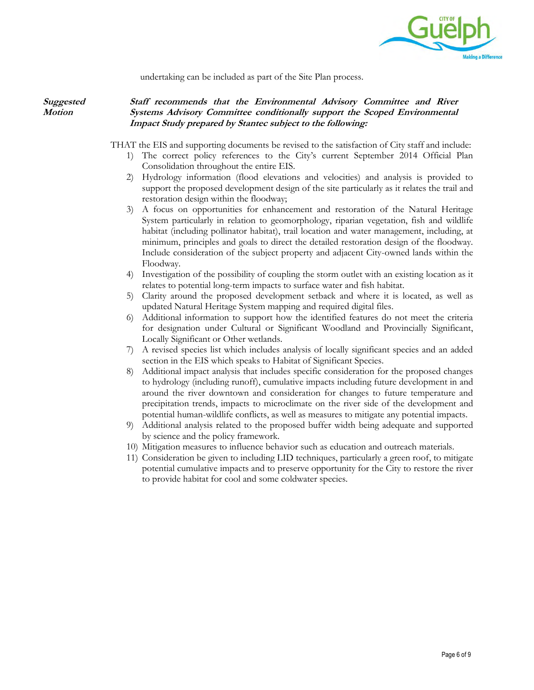

undertaking can be included as part of the Site Plan process.

**Suggested Motion**

#### **Staff recommends that the Environmental Advisory Committee and River Systems Advisory Committee conditionally support the Scoped Environmental Impact Study prepared by Stantec subject to the following:**

THAT the EIS and supporting documents be revised to the satisfaction of City staff and include:

- 1) The correct policy references to the City's current September 2014 Official Plan Consolidation throughout the entire EIS.
- 2) Hydrology information (flood elevations and velocities) and analysis is provided to support the proposed development design of the site particularly as it relates the trail and restoration design within the floodway;
- 3) A focus on opportunities for enhancement and restoration of the Natural Heritage System particularly in relation to geomorphology, riparian vegetation, fish and wildlife habitat (including pollinator habitat), trail location and water management, including, at minimum, principles and goals to direct the detailed restoration design of the floodway. Include consideration of the subject property and adjacent City-owned lands within the Floodway.
- 4) Investigation of the possibility of coupling the storm outlet with an existing location as it relates to potential long-term impacts to surface water and fish habitat.
- 5) Clarity around the proposed development setback and where it is located, as well as updated Natural Heritage System mapping and required digital files.
- 6) Additional information to support how the identified features do not meet the criteria for designation under Cultural or Significant Woodland and Provincially Significant, Locally Significant or Other wetlands.
- 7) A revised species list which includes analysis of locally significant species and an added section in the EIS which speaks to Habitat of Significant Species.
- 8) Additional impact analysis that includes specific consideration for the proposed changes to hydrology (including runoff), cumulative impacts including future development in and around the river downtown and consideration for changes to future temperature and precipitation trends, impacts to microclimate on the river side of the development and potential human-wildlife conflicts, as well as measures to mitigate any potential impacts.
- 9) Additional analysis related to the proposed buffer width being adequate and supported by science and the policy framework.
- 10) Mitigation measures to influence behavior such as education and outreach materials.
- 11) Consideration be given to including LID techniques, particularly a green roof, to mitigate potential cumulative impacts and to preserve opportunity for the City to restore the river to provide habitat for cool and some coldwater species.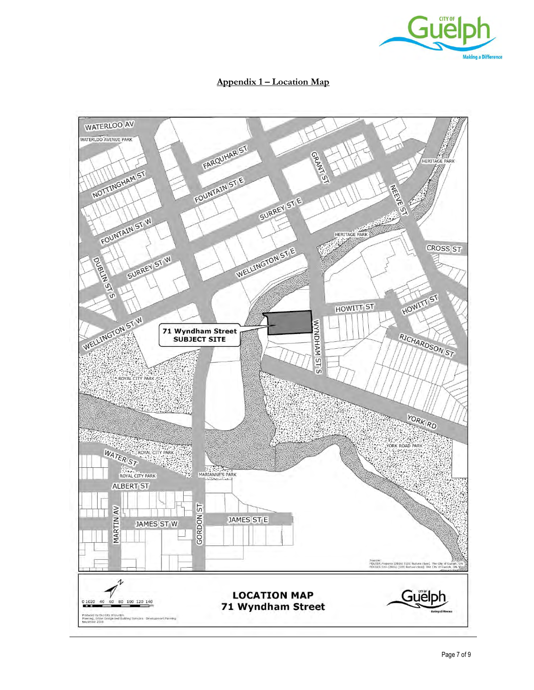

### **Appendix 1 – Location Map**

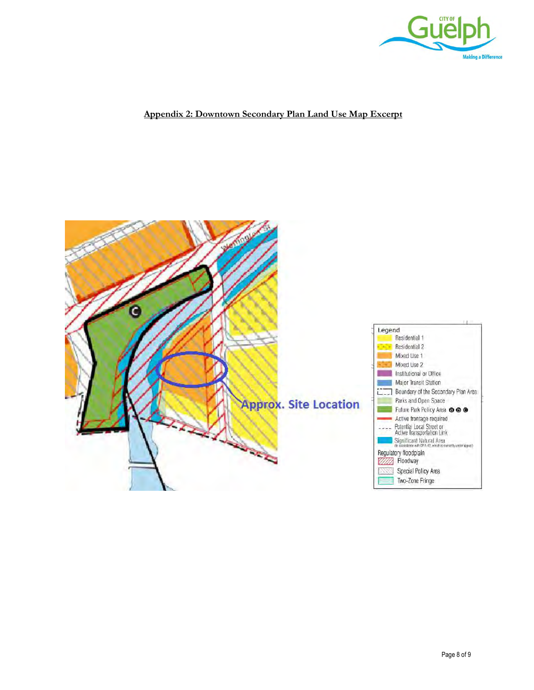

#### **Appendix 2: Downtown Secondary Plan Land Use Map Excerpt**

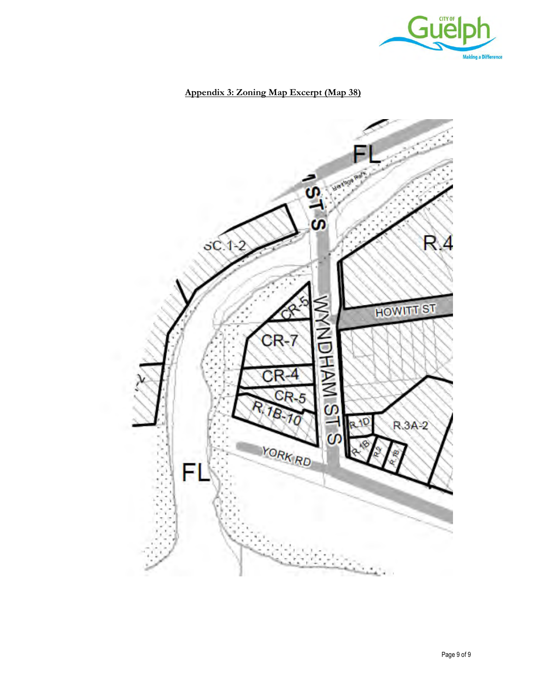

## **Appendix 3: Zoning Map Excerpt (Map 38)**